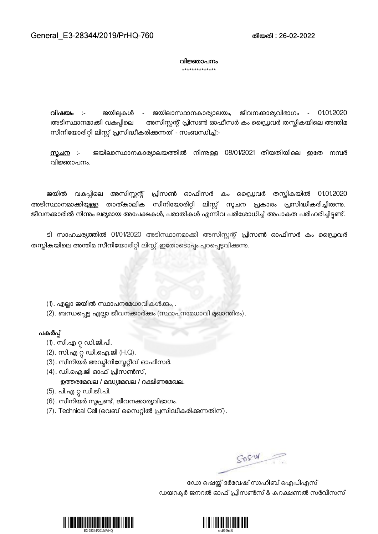## വിജ്ഞാപനം

\*\*\*\*\*\*\*\*\*\*\*\*\*\*

<u>വിഷയം</u> :- ജയില്പകൾ - ജയിലാസ്ഥാനകാര്യാലയം, ജീവനക്കാര്യവിഭാഗം - 01.01.2020 അടിസ്ഥാനമാക്കി വകപ്പിലെ അസിസ്റ്റന്റ് പ്രിസൺ ഓഫീസർ കം ഡ്രൈവർ തസ്തികയിലെ അന്തിമ സീനിയോരിറ്റി ലിസ്റ്റ് പ്രസിദ്ധീകരിക്കുന്നത് - സംബന്ധിച്ച്:-

<u>സൂചന</u> :- ജയിലാസ്ഥാനകാര്യാലയത്തിൽ നിന്നുള്ള 08/01/2021 തീയതിയിലെ ഇതേ നമ്പർ വിജ്ഞാപനം.

ജയിൽ വകുപ്പിലെ അസിസ്റ്റന്റ് പ്രിസൺ ഓഫീസർ കം ഡ്രൈവർ തസ്തികയിൽ 01.01.2020 അടിസ്ഥാനമാക്കിയുള്ള താത്കാലിക സീനിയോരിറ്റി ലിസ്റ്റ് സൂചന പ്രകാരം പ്രസിദ്ധീകരിച്ചിരുന്നു. ജീവനക്കാരിൽ നിന്നും ലഭ്യമായ അപേക്ഷകൾ, പരാതികൾ എന്നിവ പരിശോധിച്ച് അപാകത പരിഹരിച്ചിട്ടണ്ട്.

ടി സാഹചര്യത്തിൽ 01/01/2020 അടിസ്ഥാനമാക്കി അസിസ്റ്റന്റ് പ്രിസൺ ഓഫീസർ കം ഡ്രൈവർ തസ്തികയിലെ അന്തിമ സീനിയോരിറ്റി ലിസ്റ്റ് ഇതോടൊപ്പം പുറപ്പെടുവിക്കുന്നു.

- $(1)$ . എല്ലാ ജയിൽ സ്ഥാപനമേധാവികൾക്കം, .
- (2). ബന്ധപ്പെട്ട എല്ലാ ജീവനക്കാർക്കം (സ്ഥാപനമേധാവി മുഖാന്തിരം).

## <u>പകർപ്</u>

- (1). സി.എ റ്റ ഡി.ജി.പി.
- (2). സി.എ റ്റ ഡി.ഐ.ജി (H.Q).
- (3). സീനിയർ അഡ്മിനിസ്പേറ്റീവ് ഓഫീസർ.
- (4). ഡി.ഐ.ജി ഓഫ് പ്രിസൺസ്, ഉത്തരമേഖല / മദ്ധ്യമേഖല / ദക്ഷിണമേഖല.
- (5). പി.എ X ഡി.ജി.പി.
- (6). സീനിയർ സൂപ്രണ്ട്, ജീവനക്കാര്യവിഭാഗം.
- (7). Technical Cell (വെബ് സൈറ്റിൽ പ്രസിദ്ധീകരിക്കുന്നതിന്).

SORW

ഡോ ഷെയ്യ് ദർവേഷ് സാഹിബ് ഐപിഎസ് ഡയറക്ടർ ജനറൽ ഓഫ് പ്രിസൺസ് & കറക്ഷണൽ സർവീസസ്



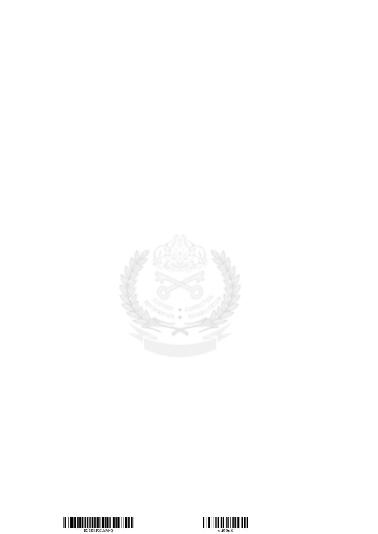



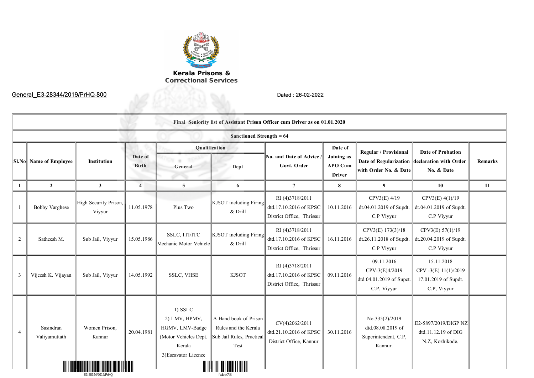

**Correctional Services** 

## General\_E3-28344/2019/PrHQ-800 Dated : 26-02-2022

|                |                               |                                 |                         |                                                                                                          |                                                                                                                          | Final Seniority list of Assistant Prison Officer cum Driver as on 01.01.2020 |                                               |                                                                         |                                                                          |                |  |  |
|----------------|-------------------------------|---------------------------------|-------------------------|----------------------------------------------------------------------------------------------------------|--------------------------------------------------------------------------------------------------------------------------|------------------------------------------------------------------------------|-----------------------------------------------|-------------------------------------------------------------------------|--------------------------------------------------------------------------|----------------|--|--|
|                |                               |                                 |                         | Sanctioned Strength = 64                                                                                 |                                                                                                                          |                                                                              |                                               |                                                                         |                                                                          |                |  |  |
|                |                               |                                 |                         | Qualification                                                                                            |                                                                                                                          |                                                                              | Date of                                       | Regular / Provisional                                                   | <b>Date of Probation</b>                                                 |                |  |  |
|                | <b>SI.No</b> Name of Employee | Institution                     | Date of<br><b>Birth</b> | General                                                                                                  | Dept                                                                                                                     | No. and Date of Advice /<br>Govt. Order                                      | Joining as<br><b>APO Cum</b><br><b>Driver</b> | with Order No. & Date                                                   | Date of Regularization declaration with Order<br>No. & Date              | <b>Remarks</b> |  |  |
|                | $\overline{2}$                | $\mathbf{3}$                    | $\overline{4}$          | 5                                                                                                        | 6                                                                                                                        | $\overline{7}$                                                               | 8                                             | 9                                                                       | 10                                                                       | 11             |  |  |
|                | <b>Bobby Varghese</b>         | High Security Prison,<br>Viyyur | 11.05.1978              | Plus Two                                                                                                 | KJSOT including Firing<br>& Drill                                                                                        | RI (4)3718/2011<br>dtd.17.10.2016 of KPSC<br>District Office, Thrissur       | 10.11.2016                                    | CPV3(E) 4/19<br>dt.04.01.2019 of Supdt.<br>C.P Viyyur                   | CPV3(E) 4(1)/19<br>dt.04.01.2019 of Supdt.<br>C.P Viyyur                 |                |  |  |
| 2              | Satheesh M.                   | Sub Jail, Viyyur                | 15.05.1986              | SSLC, ITI/ITC<br>Mechanic Motor Vehicle                                                                  | KJSOT including Firing<br>& Drill                                                                                        | RI (4)3718/2011<br>dtd.17.10.2016 of KPSC<br>District Office, Thrissur       | 16.11.2016                                    | CPV3(E) 173(3)/18<br>dt.26.11.2018 of Supdt.<br>C.P Viyyur              | CPV3(E) 57(1)/19<br>dt.20.04.2019 of Supdt.<br>C.P Viyyur                |                |  |  |
| 3              | Vijeesh K. Vijayan            | Sub Jail, Viyyur                | 14.05.1992              | <b>SSLC, VHSE</b>                                                                                        | <b>KJSOT</b>                                                                                                             | RI (4)3718/2011<br>dtd.17.10.2016 of KPSC<br>District Office, Thrissur       | 09.11.2016                                    | 09.11.2016<br>CPV-3(E)4/2019<br>dtd.04.01.2019 of Supct.<br>C.P, Viyyur | 15.11.2018<br>CPV-3(E) 11(1)/2019<br>17.01.2019 of Supdt.<br>C.P, Viyyur |                |  |  |
| $\overline{4}$ | Sasindran<br>Valiyamuttath    | Women Prison,<br>Kannur         | 20.04.1981              | $1)$ SSLC<br>2) LMV, HPMV,<br>HGMV, LMV-Badge<br>(Motor Vehicles Dept.<br>Kerala<br>3) Escavator Licence | A Hand book of Prison<br>Rules and the Kerala<br>Sub Jail Rules, Practical<br>Test<br><u> Al II II IIII ATTIITII AIL</u> | CV(4)2062/2011<br>dtd.21.10.2016 of KPSC<br>District Office, Kannur          | 30.11.2016                                    | No.335(2)/2019<br>dtd.08.08.2019 of<br>Superintendent, C.P,<br>Kannur.  | E2-5897/2019/DIGP NZ<br>dtd.11.12.19 of DIG<br>N.Z, Kozhikode.           |                |  |  |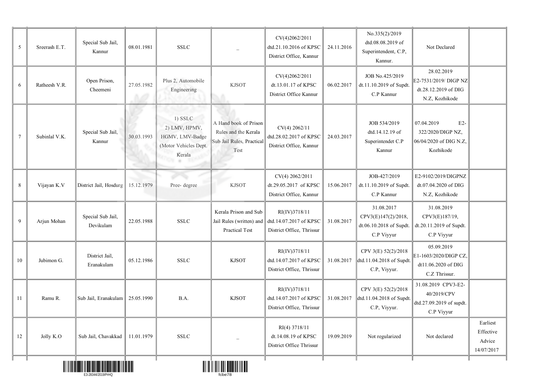| 5              | Sreerash E.T. | Special Sub Jail,<br>Kannur                                                        | 08.01.1981 | <b>SSLC</b>                                                                      |                                                                                    | CV(4)2062/2011<br>dtd.21.10.2016 of KPSC<br>District Office, Kannur  | 24.11.2016 | No.335(2)/2019<br>dtd.08.08.2019 of<br>Superintendent, C.P,<br>Kannur.     | Not Declared                                                                    |                                               |
|----------------|---------------|------------------------------------------------------------------------------------|------------|----------------------------------------------------------------------------------|------------------------------------------------------------------------------------|----------------------------------------------------------------------|------------|----------------------------------------------------------------------------|---------------------------------------------------------------------------------|-----------------------------------------------|
| 6              | Ratheesh V.R. | Open Prison,<br>Cheemeni                                                           | 27.05.1982 | Plus 2, Automobile<br>Engineering                                                | <b>KJSOT</b>                                                                       | CV(4)2062/2011<br>dt.13.01.17 of KPSC<br>District Office Kannur      | 06.02.2017 | JOB No.425/2019<br>dt.11.10.2019 of Supdt.<br>C.P Kannur                   | 28.02.2019<br>E2-7531/2019/ DIGP NZ<br>dt.28.12.2019 of DIG<br>N.Z, Kozhikode   |                                               |
| $\overline{7}$ | Subinlal V.K. | Special Sub Jail,<br>Kannur                                                        | 30.03.1993 | $1)$ SSLC<br>2) LMV, HPMV,<br>HGMV, LMV-Badge<br>(Motor Vehicles Dept.<br>Kerala | A Hand book of Prison<br>Rules and the Kerala<br>Sub Jail Rules, Practical<br>Test | CV(4) 2062/11<br>dtd.28.02.2017 of KPSC<br>District Office, Kannur   | 24.03.2017 | JOB 534/2019<br>dtd.14.12.19 of<br>Superintendet C.P<br>Kannur             | 07.04.2019<br>$E2-$<br>322/2020/DIGP NZ,<br>06/04/2020 of DIG N.Z,<br>Kozhikode |                                               |
| 8              | Vijayan K.V   | District Jail, Hosdurg                                                             | 15.12.1979 | Pree-degree                                                                      | <b>KJSOT</b>                                                                       | CV(4) 2062/2011<br>dt.29.05.2017 of KPSC<br>District Office, Kannur  | 15.06.2017 | JOB-427/2019<br>dt.11.10.2019 of Supdt.<br>C.P Kannur                      | E2-9102/2019/DIGPNZ<br>dt.07.04.2020 of DIG<br>N.Z, Kozhikode                   |                                               |
| 9              | Arjun Mohan   | Special Sub Jail,<br>Devikulam                                                     | 22.05.1988 | <b>SSLC</b>                                                                      | Kerala Prison and Sub<br>Jail Rules (written) and<br>Practical Test                | RI(IV)3718/11<br>dtd.14.07.2017 of KPSC<br>District Office, Thrissur | 31.08.2017 | 31.08.2017<br>CPV3(E)147(2)/2018,<br>dt.06.10.2018 of Supdt.<br>C.P Viyyur | 31.08.2019<br>CPV3(E)187/19,<br>dt.20.11.2019 of Supdt.<br>C.P Viyyur           |                                               |
| 10             | Jubimon G.    | District Jail,<br>Eranakulam                                                       | 05.12.1986 | <b>SSLC</b>                                                                      | <b>KJSOT</b>                                                                       | RI(IV)3718/11<br>dtd.14.07.2017 of KPSC<br>District Office, Thrissur | 31.08.2017 | CPV 3(E) 52(2)/2018<br>dtd.11.04.2018 of Supdt.<br>C.P, Viyyur.            | 05.09.2019<br>E1-1603/2020/DIGP CZ,<br>dt11.06.2020 of DIG<br>C.Z Thrissur.     |                                               |
| 11             | Ramu R.       | Sub Jail, Eranakulam                                                               | 25.05.1990 | <b>B.A.</b>                                                                      | <b>KJSOT</b>                                                                       | RI(IV)3718/11<br>dtd.14.07.2017 of KPSC<br>District Office, Thrissur | 31.08.2017 | CPV 3(E) 52(2)/2018<br>dtd.11.04.2018 of Supdt.<br>C.P, Viyyur.            | 31.08.2019 CPV3-E2-<br>40/2019/CPV<br>dtd.27.09.2019 of supdt.<br>C.P Viyyur    |                                               |
| 12             | Jolly K.O     | Sub Jail, Chavakkad                                                                | 11.01.1979 | <b>SSLC</b>                                                                      |                                                                                    | RI(4) 3718/11<br>dt.14.08.19 of KPSC<br>District Office Thrissur     | 19.09.2019 | Not regularized                                                            | Not declared                                                                    | Earliest<br>Effective<br>Advice<br>14/07/2017 |
|                |               | <u>TITTI TITTI TALLIITTI TITTI TAN TANTI TALLIITTI TANTU TANTI TAN TAN TAN TAN</u> |            |                                                                                  | <u>. Ali in îl lot lot de atacılı ili ali</u>                                      |                                                                      |            |                                                                            |                                                                                 |                                               |



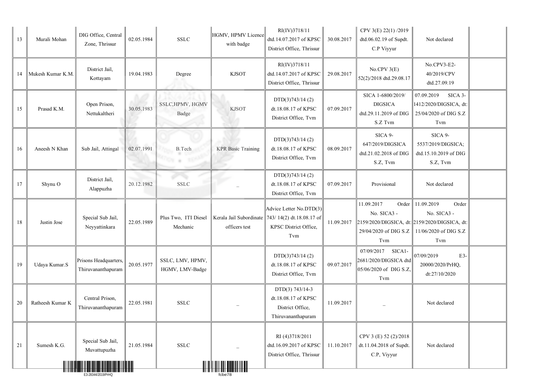| 13 | Murali Mohan      | DIG Office, Central<br>Zone, Thrissur       | 02.05.1984 | ${\tt SSLC}$                        | HGMV, HPMV Licence<br>with badge       | RI(IV)3718/11<br>dtd.14.07.2017 of KPSC<br>District Office, Thrissur                                                    | 30.08.2017 | CPV 3(E) 22(1) /2019<br>dtd.06.02.19 of Supdt.<br>C.P Viyyur                | Not declared                                                                                                                                   |  |
|----|-------------------|---------------------------------------------|------------|-------------------------------------|----------------------------------------|-------------------------------------------------------------------------------------------------------------------------|------------|-----------------------------------------------------------------------------|------------------------------------------------------------------------------------------------------------------------------------------------|--|
| 14 | Mukesh Kumar K.M. | District Jail,<br>Kottayam                  | 19.04.1983 | Degree                              | <b>KJSOT</b>                           | RI(IV)3718/11<br>dtd.14.07.2017 of KPSC<br>District Office, Thrissur                                                    | 29.08.2017 | No.CPV $3(E)$<br>52(2)/2018 dtd.29.08.17                                    | No.CPV3-E2-<br>40/2019/CPV<br>dtd.27.09.19                                                                                                     |  |
| 15 | Prasad K.M.       | Open Prison,<br>Nettukaltheri               | 30.05.1983 | SSLC, HPMV, HGMV<br>Badge           | <b>KJSOT</b>                           | DTD(3)743/14(2)<br>dt.18.08.17 of KPSC<br>District Office, Tvm                                                          | 07.09.2017 | SICA 1-6800/2019/<br><b>DIGSICA</b><br>dtd.29.11.2019 of DIG<br>S.Z Tvm     | 07.09.2019<br>SICA 3-<br>1412/2020/DIGSICA, dt:<br>25/04/2020 of DIG S.Z<br>Tvm                                                                |  |
| 16 | Aneesh N Khan     | Sub Jail, Attingal                          | 02.07.1991 | <b>B.Tech</b><br><b>TELEVISION</b>  | <b>KPR Basic Training</b>              | DTD(3)743/14(2)<br>dt.18.08.17 of KPSC<br>District Office, Tvm                                                          | 08.09.2017 | SICA 9-<br>647/2019/DIGSICA<br>dtd.21.02.2018 of DIG<br>S.Z, Tvm            | SICA 9-<br>5537/2019/DIGSICA;<br>dtd.15.10.2019 of DIG<br>S.Z, Tvm                                                                             |  |
| 17 | Shynu O           | District Jail,<br>Alappuzha                 | 20.12.1982 | <b>SSLC</b>                         |                                        | DTD(3)743/14(2)<br>dt.18.08.17 of KPSC<br>District Office, Tvm                                                          | 07.09.2017 | Provisional                                                                 | Not declared                                                                                                                                   |  |
| 18 | Justin Jose       | Special Sub Jail,<br>Neyyattinkara          | 22.05.1989 | Plus Two, ITI Diesel<br>Mechanic    | officers test                          | Advice Letter No.DTD(3)<br>Kerala Jail Subordinate $\parallel$ 743/14(2) dt.18.08.17 of<br>KPSC District Office,<br>Tvm |            | 11.09.2017<br>No. SICA3 -<br>29/04/2020 of DIG S.Z<br>Tvm                   | Order   11.09.2019<br>Order<br>No. SICA3 -<br>11.09.2017 2159/2020/DIGSICA, dt: 2159/2020/DIGSICA, dt:<br>$11/06/2020$ of DIG $\rm S.Z$<br>Tvm |  |
| 19 | Udaya Kumar.S     | Prisons Headquarters,<br>Thiruvananthapuram | 20.05.1977 | SSLC, LMV, HPMV,<br>HGMV, LMV-Badge |                                        | DTD(3)743/14(2)<br>dt.18.08.17 of KPSC<br>District Office, Tvm                                                          | 09.07.2017 | 07/09/2017 SICA1-<br>2681/2020/DIGSICA dtd<br>05/06/2020 of DIG S.Z,<br>Tvm | 07/09/2019<br>E3-<br>20000/2020/PrHQ,<br>dt:27/10/2020                                                                                         |  |
| 20 | Ratheesh Kumar K  | Central Prison,<br>Thiruvananthapuram       | 22.05.1981 | <b>SSLC</b>                         |                                        | DTD(3) 743/14-3<br>dt.18.08.17 of KPSC<br>District Office.<br>Thiruvananthapuram                                        | 11.09.2017 |                                                                             | Not declared                                                                                                                                   |  |
| 21 | Sumesh K.G.       | Special Sub Jail,<br>Muvattupuzha           | 21.05.1984 | $\operatorname{\mathsf{SSLC}}$      |                                        | RI (4)3718/2011<br>dtd.16.09.2017 of KPSC<br>District Office, Thrissur                                                  | 11.10.2017 | CPV 3 (E) 52 (2)/2018<br>dt.11.04.2018 of Supdt.<br>C.P, Viyyur             | Not declared                                                                                                                                   |  |
|    |                   |                                             |            |                                     | ╢╎║ <sup>║</sup> ╎║║┆║╎║╎ <b>╢╢╢╢╎</b> |                                                                                                                         |            |                                                                             |                                                                                                                                                |  |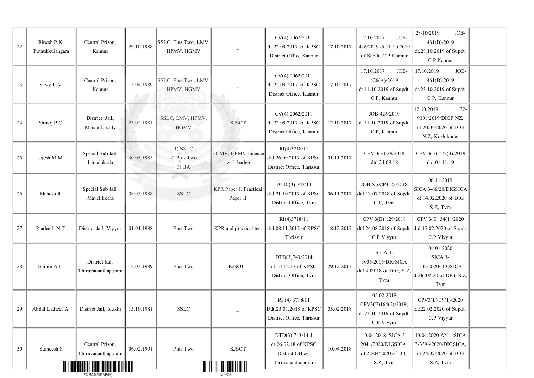| 22 | Rinesh P.K.<br>Puthukkulangara | Central Prison,<br>Kannur             | 29.10.1988 | SSLC, Plus Two, LMV,<br>HPMV, HGMV |                                                | CV(4) 2062/2011<br>dt.22.09.2017 of KPSC<br>District Office Kannur                 | 17.10.2017 | 17.10.2017<br>JOB-<br>426/2019 dt.11.10.2019<br>of Supdt. C.P Kannur                 | 28/10/2019<br>JOB-<br>481(B)/2019<br>dt.28.10.2019 of Supdt.<br>C.P Kannur           |  |
|----|--------------------------------|---------------------------------------|------------|------------------------------------|------------------------------------------------|------------------------------------------------------------------------------------|------------|--------------------------------------------------------------------------------------|--------------------------------------------------------------------------------------|--|
| 23 | Sayoj C.V.                     | Central Prison,<br>Kannur             | 15.04.1989 | SSLC, Plus Two, LMV,<br>HPMV, HGMV |                                                | CV(4) 2062/2011<br>dt.22.09.2017 of KPSC<br>District Office, Kannur                | 17.10.2017 | 17.10.2017<br>JOB-<br>426(A)/2019<br>dt.11.10.2019 of Supdt.<br>C.P, Kannur          | 17.10.2019<br>JOB-<br>461(B)/2019<br>dt.23.10.2019 of Supdt.<br>C.P, Kannur          |  |
| 24 | Shinoj P.C.                    | District Jail,<br>Mananthavady        | 25.02.1981 | SSLC, LMV, HPMV,<br><b>HGMV</b>    | <b>KJSOT</b>                                   | CV(4) 2062/2011<br>dt.22.09.2017 of KPSC<br>District Office, Kannur                | 12.10.2017 | JOB-426/2019<br>dt.11.10.2019 of Supdt.<br>C.P, Kannur                               | 12.10.2019<br>$E2-$<br>9101/2019/DIGP NZ,<br>dt:20/04/2020 of DIG<br>N.Z, Kozhikode. |  |
| 25 | Jijesh M.M.                    | Special Sub Jail,<br>Irinjalakuda     | 30.05.1985 | 1) SSLC<br>2) Plus Two<br>$3)$ BA  | HGMV, HPMV Licence<br>with badge               | RI(4)3718/11<br>dtd.26.09.2017 of KPSC<br>District Office, Thrissur                | 01.11.2017 | CPV 3(E) 29/2018<br>dtd.24.08.18                                                     | CPV 3(E) 172(3)/2019<br>dtd.01.11.19                                                 |  |
| 26 | Mahesh R.                      | Special Sub Jail,<br>Mavelikkara      | 08.05.1988 | <b>SSLC</b>                        | KPR Paper I, Practical<br>Paper II             | DTD (3) 743/14<br>dtd.21.10.2017 of KPSC<br>District Office, Tvm                   | 06.11.2017 | JOB No.CP4-25/2018<br>dtd.13.07.2018 of Supdt<br>C.P, Tvm                            | 06.11.2019<br>SICA 3-66/20/DIGSICA<br>dt.14.02.2020 of DIG<br>S.Z, Tvm               |  |
| 27 | Pradeesh N.T.                  | District Jail, Viyyur                 | 01.01.1988 | Plus Two                           | KPR and practical test                         | RI(4)3718/11<br>dtd.08.11.2017 of KPSC<br>Thrissur                                 | 18.12.2017 | CPV 3(E) 129/2018<br>dtd.24.08.2018 of Supdt. dtd.15.02.2020 of Supdt.<br>C.P Viyyur | CPV 3(E) 34(1)/2020<br>C.P Viyyur                                                    |  |
| 28 | Shibin A.L.                    | District Jail,<br>Thiruvananthapuram  | 12.03.1989 | Plus Two                           | <b>KJSOT</b>                                   | DTD(3)743/2014<br>dt.14.12.17 of KPSC<br>District Office, Tvm                      | 29.12.2017 | SICA 1-<br>3005/2015/DIGSICA<br>dt.04.09.18 of DIG, S.Z,<br>Tvm                      | 04.01.2020<br>SICA 3-<br>142/2020/DIGSICA<br>dt.06.02.20 of DIG, S.Z,<br>Tvm         |  |
| 29 | Abdul Latheef A.               | District Jail, Idukki                 | 15.10.1981 | <b>SSLC</b>                        |                                                | RI(4) 3718/11<br>Ddt.23.01.2018 of KPSC 05.02.2018<br>District Office, Thrissur    |            | 05.02.2018<br>CPV3(E)164(2)/2019,<br>dt:22.10.2019 of Supdt,<br>C.P Viyyur           | CPV3(E) 39(1)/2020<br>dt:22.02.2020 of Supdt.<br>C.P Viyyur                          |  |
| 30 | Sumeesh S                      | Central Prison,<br>Thiruvananthapuram | 06.02.1991 | Plus Two                           | KJSOT<br><u> III III IIII IIII IIIIIII III</u> | $DTD(3) 743/14-1$<br>dt.26.02.18 of KPSC<br>District Office,<br>Thiruvananthapuram | 10.04.2018 | 10.04.2018 SICA 3-<br>2041/2020/DIGSICA,<br>dt:22/04/2020 of DIG<br>S.Z, Tvm         | 10.04.2020 AN SICA<br>3-3396/2020/DIGSICA,<br>dt:24/07/2020 of DIG<br>S.Z, Tvm       |  |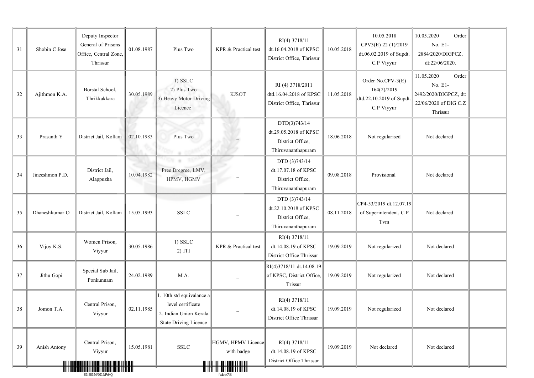| 31 | Shobin C Jose   | Deputy Inspector<br>General of Prisons<br>Office, Central Zone,<br>Thrissur | 01.08.1987 | Plus Two                                                                                                 | KPR & Practical test                               | RI(4) 3718/11<br>dt.16.04.2018 of KPSC<br>District Office, Thrissur              | 10.05.2018 | 10.05.2018<br>CPV3(E) 22 (1)/2019<br>dt.06.02.2019 of Supdt.<br>C.P Viyyur | 10.05.2020<br>Order<br>No. E1-<br>2884/2020/DIGPCZ,<br>dt:22/06/2020.                        |  |
|----|-----------------|-----------------------------------------------------------------------------|------------|----------------------------------------------------------------------------------------------------------|----------------------------------------------------|----------------------------------------------------------------------------------|------------|----------------------------------------------------------------------------|----------------------------------------------------------------------------------------------|--|
| 32 | Ajithmon K.A.   | Borstal School,<br>Thrikkakkara                                             | 30.05.1989 | $1)$ SSLC<br>2) Plus Two<br>3) Heavy Motor Driving<br>Licence                                            | <b>KJSOT</b>                                       | RI (4) 3718/2011<br>dtd.16.04.2018 of KPSC<br>District Office, Thrissur          | 11.05.2018 | Order No.CPV-3(E)<br>164(2)/2019<br>dtd.22.10.2019 of Supdt.<br>C.P Viyyur | 11.05.2020<br>Order<br>No. E1-<br>2492/2020/DIGPCZ, dt:<br>22/06/2020 of DIG C.Z<br>Thrissur |  |
| 33 | Prasanth Y      | District Jail, Kollam                                                       | 02.10.1983 | Plus Two                                                                                                 |                                                    | DTD(3)743/14<br>dt.29.05.2018 of KPSC<br>District Office,<br>Thiruvananthapuram  | 18.06.2018 | Not regularised                                                            | Not declared                                                                                 |  |
| 34 | Jineeshmon P.D. | District Jail,<br>Alappuzha                                                 | 10.04.1982 | <sup>N</sup> ODE & 19 <sup>69</sup><br>Pree Dregree, LMV,<br>HPMV, HGMV                                  |                                                    | DTD (3)743/14<br>dt.17.07.18 of KPSC<br>District Office,<br>Thiruvananthapuram   | 09.08.2018 | Provisional                                                                | Not declared                                                                                 |  |
| 35 | Dhaneshkumar O  | District Jail, Kollam                                                       | 15.05.1993 | <b>SSLC</b>                                                                                              |                                                    | DTD (3)743/14<br>dt.22.10.2018 of KPSC<br>District Office,<br>Thiruvananthapuram | 08.11.2018 | CP4-53/2019 dt.12.07.19<br>of Superintendent, C.P<br>Tvm                   | Not declared                                                                                 |  |
| 36 | Vijoy K.S.      | Women Prison,<br>Viyyur                                                     | 30.05.1986 | 1) SSLC<br>2) ITI                                                                                        | KPR & Practical test                               | RI(4) 3718/11<br>dt.14.08.19 of KPSC<br>District Office Thrissur                 | 19.09.2019 | Not regularized                                                            | Not declared                                                                                 |  |
| 37 | Jithu Gopi      | Special Sub Jail,<br>Ponkunnam                                              | 24.02.1989 | M.A.                                                                                                     |                                                    | RI(4)3718/11 dt.14.08.19<br>of KPSC, District Office,<br>Trissur                 | 19.09.2019 | Not regularized                                                            | Not declared                                                                                 |  |
| 38 | Jomon T.A.      | Central Prison.<br>Viyyur                                                   | 02.11.1985 | 1. 10th std equivalance a<br>level certificate<br>2. Indian Union Kerala<br><b>State Driving Licence</b> |                                                    | RI(4) 3718/11<br>dt.14.08.19 of KPSC<br>District Office Thrissur                 | 19.09.2019 | Not regularized                                                            | Not declared                                                                                 |  |
| 39 | Anish Antony    | Central Prison,<br>Viyyur                                                   | 15.05.1981 | $\operatorname{\mathbf{SSLC}}$                                                                           | HGMV, HPMV Licence<br>with badge                   | RI(4) 3718/11<br>dt.14.08.19 of KPSC<br>District Office Thrissur                 | 19.09.2019 | Not declared                                                               | Not declared                                                                                 |  |
|    |                 | <del>.</del><br>E3-28344/2019/PrH                                           |            |                                                                                                          | ╶ <mark>╫┼┼╴╂╿┨┼╶╉╂╊╂┼╀╂┼┼┼╂╴╂┼</mark> ╂<br>fcbe78 |                                                                                  |            |                                                                            |                                                                                              |  |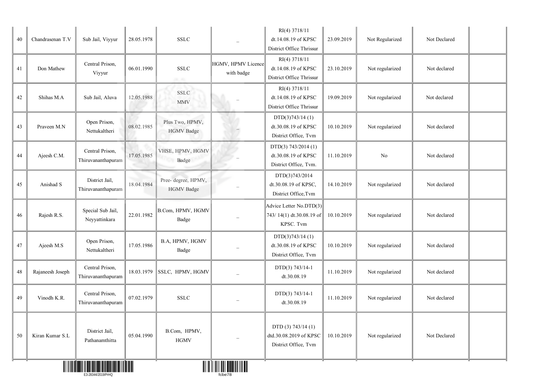| 40 | Chandrasenan T.V | Sub Jail, Viyyur                                                                                                            | 28.05.1978 | ${\tt SSLC}$                             |                                  | RI(4) 3718/11<br>dt.14.08.19 of KPSC<br>District Office Thrissur     | 23.09.2019 | Not Regularized | Not Declared |  |
|----|------------------|-----------------------------------------------------------------------------------------------------------------------------|------------|------------------------------------------|----------------------------------|----------------------------------------------------------------------|------------|-----------------|--------------|--|
| 41 | Don Mathew       | Central Prison,<br>Viyyur                                                                                                   | 06.01.1990 | ${\tt SSLC}$<br><b>COLLECTION</b>        | HGMV, HPMV Licence<br>with badge | RI(4) 3718/11<br>dt.14.08.19 of KPSC<br>District Office Thrissur     | 23.10.2019 | Not regularized | Not declared |  |
| 42 | Shihas M.A       | Sub Jail, Aluva                                                                                                             | 12.05.1988 | <b>SSLC</b><br><b>MMV</b>                |                                  | RI(4) 3718/11<br>dt.14.08.19 of KPSC<br>District Office Thrissur     | 19.09.2019 | Not regularized | Not declared |  |
| 43 | Praveen M.N      | Open Prison,<br>Nettukaltheri                                                                                               | 08.02.1985 | Plus Two, HPMV,<br><b>HGMV</b> Badge     |                                  | DTD(3)743/14(1)<br>dt.30.08.19 of KPSC<br>District Office, Tvm       | 10.10.2019 | Not regularized | Not declared |  |
| 44 | Ajeesh C.M.      | Central Prison,<br>Thiruvananthapuram                                                                                       | 17.05.1985 | VHSE, HPMV, HGMV<br>Badge                |                                  | DTD(3) 743/2014(1)<br>dt.30.08.19 of KPSC<br>District Office, Tvm.   | 11.10.2019 | No              | Not declared |  |
| 45 | Anishad S        | District Jail,<br>Thiruvananthapuram                                                                                        | 18.04.1984 | Pree- degree, HPMV,<br><b>HGMV</b> Badge |                                  | DTD(3)743/2014<br>dt.30.08.19 of KPSC,<br>District Office, Tvm       | 14.10.2019 | Not regularized | Not declared |  |
| 46 | Rajesh R.S.      | Special Sub Jail,<br>Neyyattinkara                                                                                          | 22.01.1982 | B.Com, HPMV, HGMV<br>Badge               |                                  | Advice Letter No.DTD(3)<br>$743/14(1)$ dt.30.08.19 of<br>KPSC. Tvm   | 10.10.2019 | Not regularized | Not declared |  |
| 47 | Ajeesh M.S       | Open Prison,<br>Nettukaltheri                                                                                               | 17.05.1986 | B.A, HPMV, HGMV<br>Badge                 |                                  | DTD(3)743/14(1)<br>dt.30.08.19 of KPSC<br>District Office, Tvm       | 10.10.2019 | Not regularized | Not declared |  |
| 48 | Rajaneesh Joseph | Central Prison,<br>Thiruvananthapuram                                                                                       | 18.03.1979 | SSLC, HPMV, HGMV                         |                                  | DTD(3) 743/14-1<br>dt.30.08.19                                       | 11.10.2019 | Not regularized | Not declared |  |
| 49 | Vinodh K.R.      | Central Prison,<br>Thiruvananthapuram                                                                                       | 07.02.1979 | ${\tt SSLC}$                             |                                  | DTD(3) 743/14-1<br>dt.30.08.19                                       | 11.10.2019 | Not regularized | Not declared |  |
| 50 | Kiran Kumar S.L  | District Jail,<br>Pathanamthitta<br>. הור זה הה" זו זו זה ומה רומנים מותו מה רומנים מות המשך זו זה משפח "מרומנים" בין זה דו | 05.04.1990 | B.Com, HPMV,<br><b>HGMV</b>              |                                  | DTD (3) 743/14 (1)<br>dtd.30.08.2019 of KPSC<br>District Office, Tvm | 10.10.2019 | Not regularized | Not Declared |  |